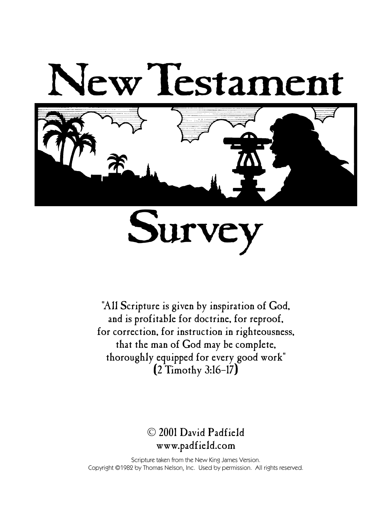



"All Scripture is given by inspiration of God, and is profitable for doctrine, for reproof, for correction, for instruction in righteousness, that the man of God may be complete, thoroughly equipped for every good work"  $(2$  Timothy 3:16-17)

### © 2001 David Padfield www.padfield.com

Scripture taken from the New King James Version. Copyright ©1982 by Thomas Nelson, Inc. Used by permission. All rights reserved.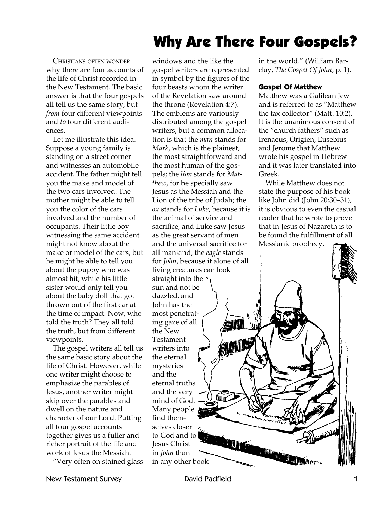# Why Are There Four Gospels?

CHRISTIANS OFTEN WONDER why there are four accounts of the life of Christ recorded in the New Testament. The basic answer is that the four gospels all tell us the same story, but *from four different viewpoints* and *to* four different audiences.

Let me illustrate this idea. Suppose a young family is standing on a street corner and witnesses an automobile accident. The father might tell you the make and model of the two cars involved. The mother might be able to tell you the color of the cars involved and the number of occupants. Their little boy witnessing the same accident might not know about the make or model of the cars, but he might be able to tell you about the puppy who was almost hit, while his little sister would only tell you about the baby doll that got thrown out of the first car at the time of impact. Now, who told the truth? They all told the truth, but from different viewpoints.

The gospel writers all tell us the same basic story about the life of Christ. However, while one writer might choose to emphasize the parables of Jesus, another writer might skip over the parables and dwell on the nature and character of our Lord. Putting all four gospel accounts together gives us a fuller and richer portrait of the life and work of Jesus the Messiah.

"Very often on stained glass

windows and the like the gospel writers are represented in symbol by the figures of the four beasts whom the writer of the Revelation saw around the throne (Revelation 4:7). The emblems are variously distributed among the gospel writers, but a common allocation is that the *man* stands for *Mark*, which is the plainest, the most straightforward and the most human of the gospels; the *lion* stands for *Matthew*, for he specially saw Jesus as the Messiah and the Lion of the tribe of Judah; the *ox* stands for *Luke*, because it is the animal of service and sacrifice, and Luke saw Jesus as the great servant of men and the universal sacrifice for all mankind; the *eagle* stands for *John*, because it alone of all living creatures can look straight into the sun and not be dazzled, and John has the most penetrating gaze of all the New Testament writers into the eternal mysteries and the eternal truths and the very **ELLITIN** mind of God. Many people find themselves closer to God and to Jesus Christ in *John* than in any other book

in the world." (William Barclay, *The Gospel Of John,* p. 1).

#### **Gospel Of Matthew**

Matthew was a Galilean Jew and is referred to as "Matthew the tax collector" (Matt. 10:2). It is the unanimous consent of the "church fathers" such as Irenaeus, Origien, Eusebius and Jerome that Matthew wrote his gospel in Hebrew and it was later translated into Greek.

While Matthew does not state the purpose of his book like John did (John 20:30–31), it is obvious to even the casual reader that he wrote to prove that in Jesus of Nazareth is to be found the fulfillment of all Messianic prophecy.

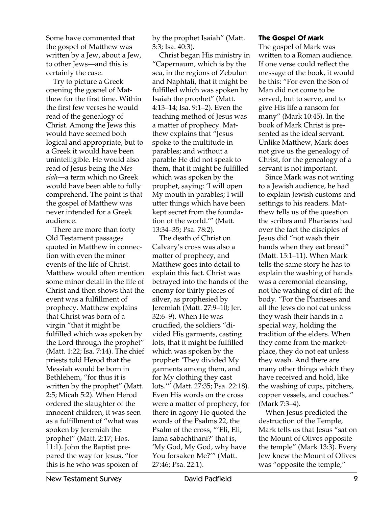Some have commented that the gospel of Matthew was written by a Jew, about a Jew, to other Jews—and this is certainly the case.

Try to picture a Greek opening the gospel of Matthew for the first time. Within the first few verses he would read of the genealogy of Christ. Among the Jews this would have seemed both logical and appropriate, but to a Greek it would have been unintelligible. He would also read of Jesus being the *Messiah*—a term which no Greek would have been able to fully comprehend. The point is that the gospel of Matthew was never intended for a Greek audience.

There are more than forty Old Testament passages quoted in Matthew in connection with even the minor events of the life of Christ. Matthew would often mention some minor detail in the life of Christ and then shows that the event was a fulfillment of prophecy. Matthew explains that Christ was born of a virgin "that it might be fulfilled which was spoken by the Lord through the prophet" (Matt. 1:22; Isa. 7:14). The chief priests told Herod that the Messiah would be born in Bethlehem, "for thus it is written by the prophet" (Matt. 2:5; Micah 5:2). When Herod ordered the slaughter of the innocent children, it was seen as a fulfillment of "what was spoken by Jeremiah the prophet" (Matt. 2:17; Hos. 11:1). John the Baptist prepared the way for Jesus, "for this is he who was spoken of

by the prophet Isaiah" (Matt. 3:3; Isa. 40:3).

Christ began His ministry in "Capernaum, which is by the sea, in the regions of Zebulun and Naphtali, that it might be fulfilled which was spoken by Isaiah the prophet" (Matt. 4:13–14; Isa. 9:1–2). Even the teaching method of Jesus was a matter of prophecy. Matthew explains that "Jesus spoke to the multitude in parables; and without a parable He did not speak to them, that it might be fulfilled which was spoken by the prophet, saying: 'I will open My mouth in parables; I will utter things which have been kept secret from the foundation of the world.'" (Matt. 13:34–35; Psa. 78:2).

The death of Christ on Calvary's cross was also a matter of prophecy, and Matthew goes into detail to explain this fact. Christ was betrayed into the hands of the enemy for thirty pieces of silver, as prophesied by Jeremiah (Matt. 27:9–10; Jer. 32:6–9). When He was crucified, the soldiers "divided His garments, casting lots, that it might be fulfilled which was spoken by the prophet: 'They divided My garments among them, and for My clothing they cast lots.'" (Matt. 27:35; Psa. 22:18). Even His words on the cross were a matter of prophecy, for there in agony He quoted the words of the Psalms 22, the Psalm of the cross, "'Eli, Eli, lama sabachthani?' that is, 'My God, My God, why have You forsaken Me?'" (Matt. 27:46; Psa. 22:1).

#### **The Gospel Of Mark**

The gospel of Mark was written to a Roman audience. If one verse could reflect the message of the book, it would be this: "For even the Son of Man did not come to be served, but to serve, and to give His life a ransom for many" (Mark 10:45). In the book of Mark Christ is presented as the ideal servant. Unlike Matthew, Mark does not give us the genealogy of Christ, for the genealogy of a servant is not important.

Since Mark was not writing to a Jewish audience, he had to explain Jewish customs and settings to his readers. Matthew tells us of the question the scribes and Pharisees had over the fact the disciples of Jesus did "not wash their hands when they eat bread" (Matt. 15:1–11). When Mark tells the same story he has to explain the washing of hands was a ceremonial cleansing, not the washing of dirt off the body. "For the Pharisees and all the Jews do not eat unless they wash their hands in a special way, holding the tradition of the elders. When they come from the marketplace, they do not eat unless they wash. And there are many other things which they have received and hold, like the washing of cups, pitchers, copper vessels, and couches." (Mark 7:3–4).

When Jesus predicted the destruction of the Temple, Mark tells us that Jesus "sat on the Mount of Olives opposite the temple" (Mark 13:3). Every Jew knew the Mount of Olives was "opposite the temple,"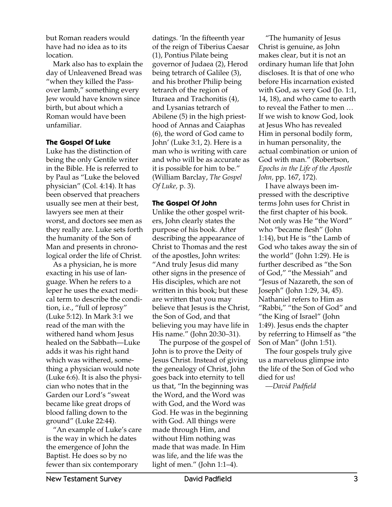but Roman readers would have had no idea as to its location.

Mark also has to explain the day of Unleavened Bread was "when they killed the Passover lamb," something every Jew would have known since birth, but about which a Roman would have been unfamiliar.

#### **The Gospel Of Luke**

Luke has the distinction of being the only Gentile writer in the Bible. He is referred to by Paul as "Luke the beloved physician" (Col. 4:14). It has been observed that preachers usually see men at their best, lawyers see men at their worst, and doctors see men as they really are. Luke sets forth the humanity of the Son of Man and presents in chronological order the life of Christ.

As a physician, he is more exacting in his use of language. When he refers to a leper he uses the exact medical term to describe the condition, i.e., "full of leprosy" (Luke 5:12). In Mark 3:1 we read of the man with the withered hand whom Jesus healed on the Sabbath—Luke adds it was his right hand which was withered, something a physician would note (Luke 6:6). It is also the physician who notes that in the Garden our Lord's "sweat became like great drops of blood falling down to the ground" (Luke 22:44).

"An example of Luke's care is the way in which he dates the emergence of John the Baptist. He does so by no fewer than six contemporary

datings. 'In the fifteenth year of the reign of Tiberius Caesar (1), Pontius Pilate being governor of Judaea (2), Herod being tetrarch of Galilee (3), and his brother Philip being tetrarch of the region of Ituraea and Trachonitis (4), and Lysanias tetrarch of Abilene (5) in the high priesthood of Annas and Caiaphas (6), the word of God came to John' (Luke 3:1, 2). Here is a man who is writing with care and who will be as accurate as it is possible for him to be." (William Barclay, *The Gospel Of Luke,* p. 3).

#### **The Gospel Of John**

Unlike the other gospel writers, John clearly states the purpose of his book. After describing the appearance of Christ to Thomas and the rest of the apostles, John writes: "And truly Jesus did many other signs in the presence of His disciples, which are not written in this book; but these are written that you may believe that Jesus is the Christ, the Son of God, and that believing you may have life in His name." (John 20:30–31).

The purpose of the gospel of John is to prove the Deity of Jesus Christ. Instead of giving the genealogy of Christ, John goes back into eternity to tell us that, "In the beginning was the Word, and the Word was with God, and the Word was God. He was in the beginning with God. All things were made through Him, and without Him nothing was made that was made. In Him was life, and the life was the light of men." (John 1:1–4).

"The humanity of Jesus Christ is genuine, as John makes clear, but it is not an ordinary human life that John discloses. It is that of one who before His incarnation existed with God, as very God (Jo. 1:1, 14, 18), and who came to earth to reveal the Father to men … If we wish to know God, look at Jesus Who has revealed Him in personal bodily form, in human personality, the actual combination or union of God with man." (Robertson, *Epochs in the Life of the Apostle John,* pp. 167, 172).

I have always been impressed with the descriptive terms John uses for Christ in the first chapter of his book. Not only was He "the Word" who "became flesh" (John 1:14), but He is "the Lamb of God who takes away the sin of the world" (John 1:29). He is further described as "the Son of God," "the Messiah" and "Jesus of Nazareth, the son of Joseph" (John 1:29, 34, 45). Nathaniel refers to Him as "Rabbi," "the Son of God" and "the King of Israel" (John 1:49). Jesus ends the chapter by referring to Himself as "the Son of Man" (John 1:51).

The four gospels truly give us a marvelous glimpse into the life of the Son of God who died for us!

*—David Padfield*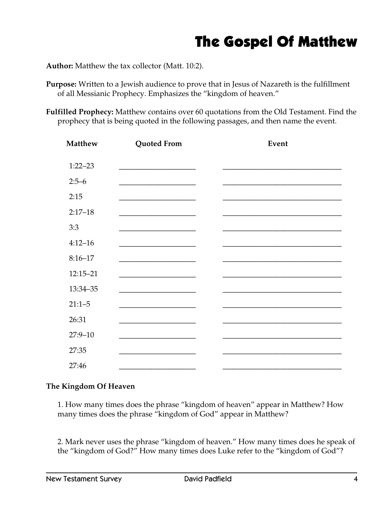## The Gospel Of Matthew

**Author:** Matthew the tax collector (Matt. 10:2).

- **Purpose:** Written to a Jewish audience to prove that in Jesus of Nazareth is the fulfillment of all Messianic Prophecy. Emphasizes the "kingdom of heaven."
- **Fulfilled Prophecy:** Matthew contains over 60 quotations from the Old Testament. Find the prophecy that is being quoted in the following passages, and then name the event.

| <b>Matthew</b> | <b>Quoted From</b>                                                                                                     | Event |
|----------------|------------------------------------------------------------------------------------------------------------------------|-------|
| $1:22 - 23$    |                                                                                                                        |       |
| $2:5-6$        |                                                                                                                        |       |
| 2:15           |                                                                                                                        |       |
| $2:17 - 18$    |                                                                                                                        |       |
| 3:3            |                                                                                                                        |       |
| $4:12 - 16$    |                                                                                                                        |       |
| $8:16 - 17$    |                                                                                                                        |       |
| $12:15 - 21$   |                                                                                                                        |       |
| 13:34-35       | <u> 1980 - Johann John Stone, market fan it ferstjer fan it ferstjer fan it ferstjer fan it ferstjer fan it fers</u>   |       |
| $21:1 - 5$     | <u> 1980 - Johann John Stone, market fan it ferskearre fan it ferskearre fan it ferskearre fan it ferskearre fan i</u> |       |
| 26:31          |                                                                                                                        |       |
| $27:9 - 10$    | <u> 1989 - Johann Barbara, martin amerikan basar dan berasal dan berasal dalam basar dalam basar dalam basar dala</u>  |       |
| 27:35          |                                                                                                                        |       |
| 27:46          |                                                                                                                        |       |

### **The Kingdom Of Heaven**

1. How many times does the phrase "kingdom of heaven" appear in Matthew? How many times does the phrase "kingdom of God" appear in Matthew?

2. Mark never uses the phrase "kingdom of heaven." How many times does he speak of the "kingdom of God?" How many times does Luke refer to the "kingdom of God"?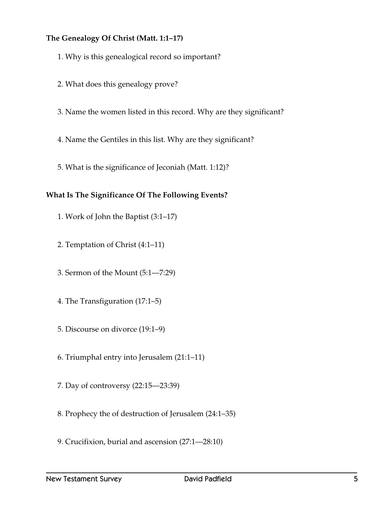### **The Genealogy Of Christ (Matt. 1:1–17)**

- 1. Why is this genealogical record so important?
- 2. What does this genealogy prove?
- 3. Name the women listed in this record. Why are they significant?
- 4. Name the Gentiles in this list. Why are they significant?
- 5. What is the significance of Jeconiah (Matt. 1:12)?

### **What Is The Significance Of The Following Events?**

- 1. Work of John the Baptist (3:1–17)
- 2. Temptation of Christ (4:1–11)
- 3. Sermon of the Mount (5:1—7:29)
- 4. The Transfiguration (17:1–5)
- 5. Discourse on divorce (19:1–9)
- 6. Triumphal entry into Jerusalem (21:1–11)
- 7. Day of controversy (22:15—23:39)
- 8. Prophecy the of destruction of Jerusalem (24:1–35)
- 9. Crucifixion, burial and ascension (27:1—28:10)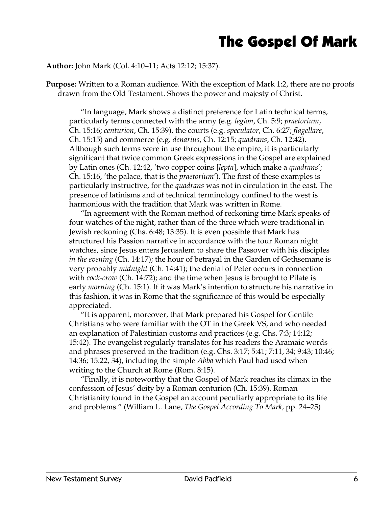# The Gospel Of Mark

### **Author:** John Mark (Col. 4:10–11; Acts 12:12; 15:37).

**Purpose:** Written to a Roman audience. With the exception of Mark 1:2, there are no proofs drawn from the Old Testament. Shows the power and majesty of Christ.

"In language, Mark shows a distinct preference for Latin technical terms, particularly terms connected with the army (e.g. *legion*, Ch. 5:9; *praetorium*, Ch. 15:16; *centurion*, Ch. 15:39), the courts (e.g. *speculator*, Ch. 6:27; *flagellare*, Ch. 15:15) and commerce (e.g. *denarius*, Ch. 12:15; *quadrans*, Ch. 12:42). Although such terms were in use throughout the empire, it is particularly significant that twice common Greek expressions in the Gospel are explained by Latin ones (Ch. 12:42, 'two copper coins [*lepta*], which make a *quadrans*'; Ch. 15:16, 'the palace, that is the *praetorium*'). The first of these examples is particularly instructive, for the *quadrans* was not in circulation in the east. The presence of latinisms and of technical terminology confined to the west is harmonious with the tradition that Mark was written in Rome.

"In agreement with the Roman method of reckoning time Mark speaks of four watches of the night, rather than of the three which were traditional in Jewish reckoning (Chs. 6:48; 13:35). It is even possible that Mark has structured his Passion narrative in accordance with the four Roman night watches, since Jesus enters Jerusalem to share the Passover with his disciples *in the evening* (Ch. 14:17); the hour of betrayal in the Garden of Gethsemane is very probably *midnight* (Ch. 14:41); the denial of Peter occurs in connection with *cock-crow* (Ch. 14:72); and the time when Jesus is brought to Pilate is early *morning* (Ch. 15:1). If it was Mark's intention to structure his narrative in this fashion, it was in Rome that the significance of this would be especially appreciated.

"It is apparent, moreover, that Mark prepared his Gospel for Gentile Christians who were familiar with the OT in the Greek VS, and who needed an explanation of Palestinian customs and practices (e.g. Chs. 7:3; 14:12; 15:42). The evangelist regularly translates for his readers the Aramaic words and phrases preserved in the tradition (e.g. Chs. 3:17; 5:41; 7:11, 34; 9:43; 10:46; 14:36; 15:22, 34), including the simple *Abba* which Paul had used when writing to the Church at Rome (Rom. 8:15).

"Finally, it is noteworthy that the Gospel of Mark reaches its climax in the confession of Jesus' deity by a Roman centurion (Ch. 15:39). Roman Christianity found in the Gospel an account peculiarly appropriate to its life and problems." (William L. Lane, *The Gospel According To Mark,* pp. 24–25)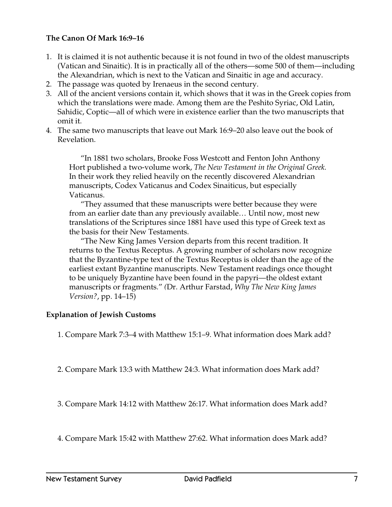### **The Canon Of Mark 16:9–16**

- 1. It is claimed it is not authentic because it is not found in two of the oldest manuscripts (Vatican and Sinaitic). It is in practically all of the others—some 500 of them—including the Alexandrian, which is next to the Vatican and Sinaitic in age and accuracy.
- 2. The passage was quoted by Irenaeus in the second century.
- 3. All of the ancient versions contain it, which shows that it was in the Greek copies from which the translations were made. Among them are the Peshito Syriac, Old Latin, Sahidic, Coptic—all of which were in existence earlier than the two manuscripts that omit it.
- 4. The same two manuscripts that leave out Mark 16:9–20 also leave out the book of Revelation.

"In 1881 two scholars, Brooke Foss Westcott and Fenton John Anthony Hort published a two-volume work, *The New Testament in the Original Greek.* In their work they relied heavily on the recently discovered Alexandrian manuscripts, Codex Vaticanus and Codex Sinaiticus, but especially Vaticanus.

"They assumed that these manuscripts were better because they were from an earlier date than any previously available… Until now, most new translations of the Scriptures since 1881 have used this type of Greek text as the basis for their New Testaments.

"The New King James Version departs from this recent tradition. It returns to the Textus Receptus. A growing number of scholars now recognize that the Byzantine-type text of the Textus Receptus is older than the age of the earliest extant Byzantine manuscripts. New Testament readings once thought to be uniquely Byzantine have been found in the papyri—the oldest extant manuscripts or fragments." *(*Dr. Arthur Farstad, *Why The New King James Version?*, pp. 14–15)

### **Explanation of Jewish Customs**

1. Compare Mark 7:3–4 with Matthew 15:1–9. What information does Mark add?

2. Compare Mark 13:3 with Matthew 24:3. What information does Mark add?

3. Compare Mark 14:12 with Matthew 26:17. What information does Mark add?

4. Compare Mark 15:42 with Matthew 27:62. What information does Mark add?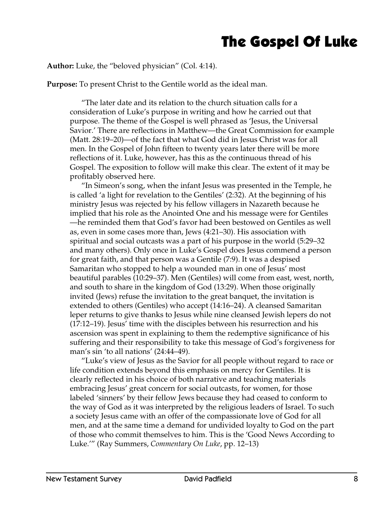## The Gospel Of Luke

### **Author:** Luke, the "beloved physician" (Col. 4:14).

**Purpose:** To present Christ to the Gentile world as the ideal man.

"The later date and its relation to the church situation calls for a consideration of Luke's purpose in writing and how he carried out that purpose. The theme of the Gospel is well phrased as 'Jesus, the Universal Savior.' There are reflections in Matthew—the Great Commission for example (Matt. 28:19–20)—of the fact that what God did in Jesus Christ was for all men. In the Gospel of John fifteen to twenty years later there will be more reflections of it. Luke, however, has this as the continuous thread of his Gospel. The exposition to follow will make this clear. The extent of it may be profitably observed here.

"In Simeon's song, when the infant Jesus was presented in the Temple, he is called 'a light for revelation to the Gentiles' (2:32). At the beginning of his ministry Jesus was rejected by his fellow villagers in Nazareth because he implied that his role as the Anointed One and his message were for Gentiles —he reminded them that God's favor had been bestowed on Gentiles as well as, even in some cases more than, Jews (4:21–30). His association with spiritual and social outcasts was a part of his purpose in the world (5:29–32 and many others). Only once in Luke's Gospel does Jesus commend a person for great faith, and that person was a Gentile (7:9). It was a despised Samaritan who stopped to help a wounded man in one of Jesus' most beautiful parables (10:29–37). Men (Gentiles) will come from east, west, north, and south to share in the kingdom of God (13:29). When those originally invited (Jews) refuse the invitation to the great banquet, the invitation is extended to others (Gentiles) who accept (14:16–24). A cleansed Samaritan leper returns to give thanks to Jesus while nine cleansed Jewish lepers do not (17:12–19). Jesus' time with the disciples between his resurrection and his ascension was spent in explaining to them the redemptive significance of his suffering and their responsibility to take this message of God's forgiveness for man's sin 'to all nations' (24:44–49).

"Luke's view of Jesus as the Savior for all people without regard to race or life condition extends beyond this emphasis on mercy for Gentiles. It is clearly reflected in his choice of both narrative and teaching materials embracing Jesus' great concern for social outcasts, for women, for those labeled 'sinners' by their fellow Jews because they had ceased to conform to the way of God as it was interpreted by the religious leaders of Israel. To such a society Jesus came with an offer of the compassionate love of God for all men, and at the same time a demand for undivided loyalty to God on the part of those who commit themselves to him. This is the 'Good News According to Luke.'" (Ray Summers, *Commentary On Luke*, pp. 12–13)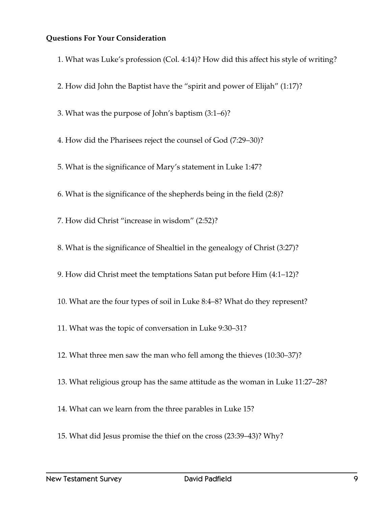### **Questions For Your Consideration**

1. What was Luke's profession (Col. 4:14)? How did this affect his style of writing?

- 2. How did John the Baptist have the "spirit and power of Elijah" (1:17)?
- 3. What was the purpose of John's baptism (3:1–6)?
- 4. How did the Pharisees reject the counsel of God (7:29–30)?

5. What is the significance of Mary's statement in Luke 1:47?

6. What is the significance of the shepherds being in the field (2:8)?

- 7. How did Christ "increase in wisdom" (2:52)?
- 8. What is the significance of Shealtiel in the genealogy of Christ (3:27)?

9. How did Christ meet the temptations Satan put before Him (4:1–12)?

- 10. What are the four types of soil in Luke 8:4–8? What do they represent?
- 11. What was the topic of conversation in Luke 9:30–31?
- 12. What three men saw the man who fell among the thieves (10:30–37)?
- 13. What religious group has the same attitude as the woman in Luke 11:27–28?
- 14. What can we learn from the three parables in Luke 15?
- 15. What did Jesus promise the thief on the cross (23:39–43)? Why?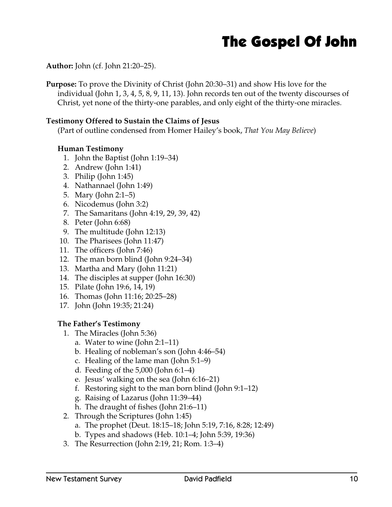## The Gospel Of John

**Author:** John (cf. John 21:20–25).

**Purpose:** To prove the Divinity of Christ (John 20:30–31) and show His love for the individual (John 1, 3, 4, 5, 8, 9, 11, 13). John records ten out of the twenty discourses of Christ, yet none of the thirty-one parables, and only eight of the thirty-one miracles.

### **Testimony Offered to Sustain the Claims of Jesus**

(Part of outline condensed from Homer Hailey's book, *That You May Believe*)

### **Human Testimony**

- 1. John the Baptist (John 1:19–34)
- 2. Andrew (John 1:41)
- 3. Philip (John 1:45)
- 4. Nathannael (John 1:49)
- 5. Mary (John 2:1–5)
- 6. Nicodemus (John 3:2)
- 7. The Samaritans (John 4:19, 29, 39, 42)
- 8. Peter (John 6:68)
- 9. The multitude (John 12:13)
- 10. The Pharisees (John 11:47)
- 11. The officers (John 7:46)
- 12. The man born blind (John 9:24–34)
- 13. Martha and Mary (John 11:21)
- 14. The disciples at supper (John 16:30)
- 15. Pilate (John 19:6, 14, 19)
- 16. Thomas (John 11:16; 20:25–28)
- 17. John (John 19:35; 21:24)

### **The Father's Testimony**

- 1. The Miracles (John 5:36)
	- a. Water to wine (John 2:1–11)
	- b. Healing of nobleman's son (John 4:46–54)
	- c. Healing of the lame man (John 5:1–9)
	- d. Feeding of the 5,000 (John 6:1–4)
	- e. Jesus' walking on the sea (John 6:16–21)
	- f. Restoring sight to the man born blind (John 9:1–12)
	- g. Raising of Lazarus (John 11:39–44)
	- h. The draught of fishes (John 21:6–11)
- 2. Through the Scriptures (John 1:45)
	- a. The prophet (Deut. 18:15–18; John 5:19, 7:16, 8:28; 12:49)
	- b. Types and shadows (Heb. 10:1–4; John 5:39, 19:36)
- 3. The Resurrection (John 2:19, 21; Rom. 1:3–4)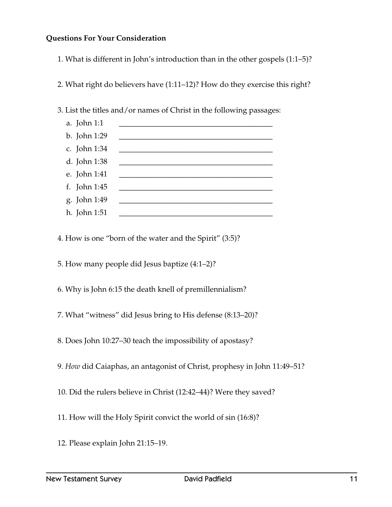### **Questions For Your Consideration**

- 1. What is different in John's introduction than in the other gospels (1:1–5)?
- 2. What right do believers have (1:11–12)? How do they exercise this right?
- 3. List the titles and/or names of Christ in the following passages:

| a. John 1:1  |  |
|--------------|--|
| b. John 1:29 |  |
| c. John 1:34 |  |
| d. John 1:38 |  |
| e. John 1:41 |  |
| f. John 1:45 |  |
| g. John 1:49 |  |
| h. John 1:51 |  |
|              |  |

4. How is one "born of the water and the Spirit" (3:5)?

5. How many people did Jesus baptize (4:1–2)?

- 6. Why is John 6:15 the death knell of premillennialism?
- 7. What "witness" did Jesus bring to His defense (8:13–20)?
- 8. Does John 10:27–30 teach the impossibility of apostasy?
- 9. *How* did Caiaphas, an antagonist of Christ, prophesy in John 11:49–51?
- 10. Did the rulers believe in Christ (12:42–44)? Were they saved?
- 11. How will the Holy Spirit convict the world of sin (16:8)?
- 12. Please explain John 21:15–19.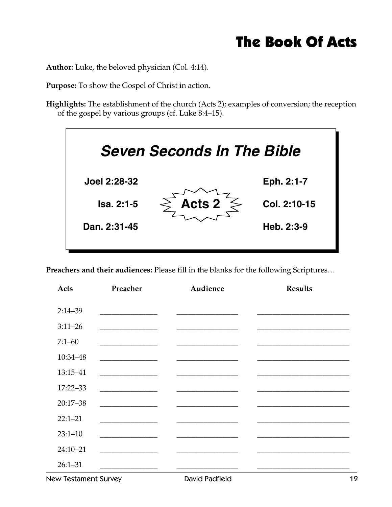## The Book Of Acts

**Author:** Luke, the beloved physician (Col. 4:14).

**Purpose:** To show the Gospel of Christ in action.

**Highlights:** The establishment of the church (Acts 2); examples of conversion; the reception of the gospel by various groups (cf. Luke 8:4–15).



**Preachers and their audiences:** Please fill in the blanks for the following Scriptures…

| Acts         | Preacher                                                                                                             | Audience | <b>Results</b> |
|--------------|----------------------------------------------------------------------------------------------------------------------|----------|----------------|
|              |                                                                                                                      |          |                |
| $2:14 - 39$  |                                                                                                                      |          |                |
| $3:11-26$    |                                                                                                                      |          |                |
| $7:1 - 60$   |                                                                                                                      |          |                |
| 10:34-48     |                                                                                                                      |          |                |
| 13:15-41     | <u> 1989 - Johann Barbara, martin a</u>                                                                              |          |                |
| $17:22 - 33$ | <u> 1980 - Johann Barn, mars ar breithinn ar breithinn ar breithinn ar breithinn ar breithinn ar breithinn ar br</u> |          |                |
| $20:17 - 38$ |                                                                                                                      |          |                |
| $22:1 - 21$  |                                                                                                                      |          |                |
| $23:1 - 10$  |                                                                                                                      |          |                |
| $24:10 - 21$ |                                                                                                                      |          |                |
| $26:1 - 31$  |                                                                                                                      |          |                |
|              |                                                                                                                      |          |                |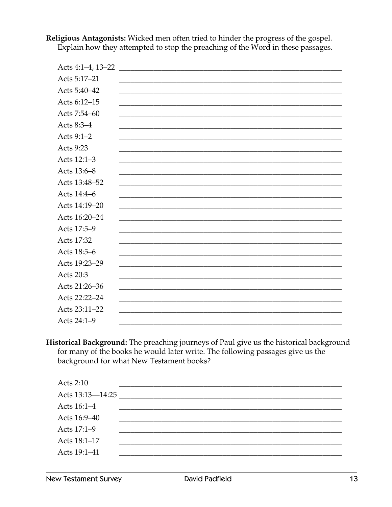Acts 5:17-21 Acts 5:40-42 Acts 6:12-15 Acts 7:54-60 Acts 8:3-4 Acts 9:1-2 Acts 9:23 Acts 12:1-3 Acts 13:6-8 Acts 13:48-52 Acts 14:4-6 Acts 14:19-20 Acts 16:20-24 Acts 17:5-9 Acts 17:32 Acts 18:5-6 Acts 19:23-29 Acts 20:3 Acts 21:26-36 Acts 22:22-24 Acts 23:11-22 Acts 24:1-9

Religious Antagonists: Wicked men often tried to hinder the progress of the gospel. Explain how they attempted to stop the preaching of the Word in these passages.

Historical Background: The preaching journeys of Paul give us the historical background for many of the books he would later write. The following passages give us the background for what New Testament books?

| Acts 2:10        |  |
|------------------|--|
| Acts 13:13-14:25 |  |
| Acts 16:1-4      |  |
| Acts 16:9-40     |  |
| Acts 17:1-9      |  |
| Acts 18:1-17     |  |
| Acts 19:1-41     |  |
|                  |  |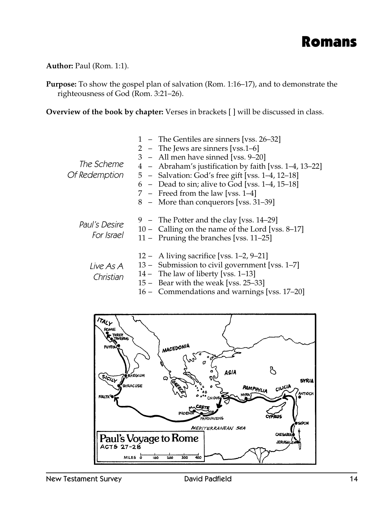

**Author:** Paul (Rom. 1:1).

**Purpose:** To show the gospel plan of salvation (Rom. 1:16–17), and to demonstrate the righteousness of God (Rom. 3:21–26).

**Overview of the book by chapter:** Verses in brackets [ ] will be discussed in class.

| The Scheme                  | 1 – The Gentiles are sinners [vss. 26–32]<br>2 – The Jews are sinners [vss.1–6]<br>3 – All men have sinned [vss. 9–20]<br>4 - Abraham's justification by faith [vss. 1–4, 13–22]<br>Of Redemption 5 - Salvation: God's free gift [vss. 1–4, 12–18]<br>$6$ – Dead to sin; alive to God [vss. 1–4, 15–18]<br>7 – Freed from the law [vss. $1-4$ ]<br>8 - More than conquerors [vss. 31–39] |
|-----------------------------|------------------------------------------------------------------------------------------------------------------------------------------------------------------------------------------------------------------------------------------------------------------------------------------------------------------------------------------------------------------------------------------|
| Paul's Desire<br>For Israel | 9 – The Potter and the clay [vss. 14–29]<br>10 – Calling on the name of the Lord [vss. 8–17]<br>11 – Pruning the branches [vss. 11–25]                                                                                                                                                                                                                                                   |
| Live As A<br>Christian      | $12 - A$ living sacrifice [vss. 1–2, 9–21]<br>13 – Submission to civil government [vss. 1–7]<br>$14$ – The law of liberty [vss. 1–13]<br>15 – Bear with the weak [vss. 25–33]<br>16 – Commendations and warnings [vss. 17–20]                                                                                                                                                            |

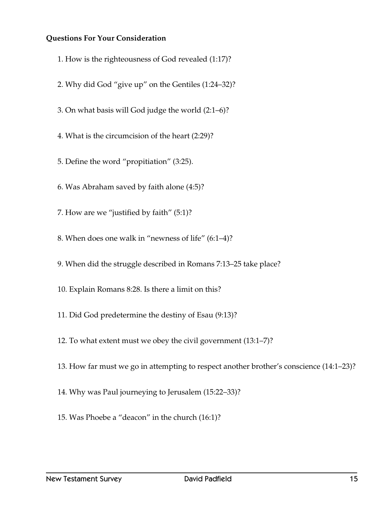### **Questions For Your Consideration**

- 1. How is the righteousness of God revealed (1:17)?
- 2. Why did God "give up" on the Gentiles (1:24–32)?
- 3. On what basis will God judge the world (2:1–6)?
- 4. What is the circumcision of the heart (2:29)?
- 5. Define the word "propitiation" (3:25).
- 6. Was Abraham saved by faith alone (4:5)?
- 7. How are we "justified by faith" (5:1)?
- 8. When does one walk in "newness of life" (6:1–4)?
- 9. When did the struggle described in Romans 7:13–25 take place?
- 10. Explain Romans 8:28. Is there a limit on this?
- 11. Did God predetermine the destiny of Esau (9:13)?
- 12. To what extent must we obey the civil government (13:1–7)?
- 13. How far must we go in attempting to respect another brother's conscience (14:1–23)?
- 14. Why was Paul journeying to Jerusalem (15:22–33)?
- 15. Was Phoebe a "deacon" in the church (16:1)?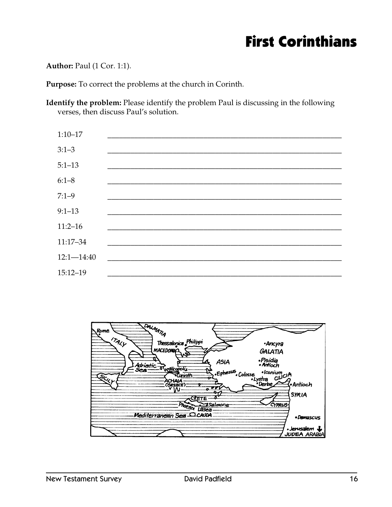## **First Corinthians**

### Author: Paul (1 Cor. 1:1).

Purpose: To correct the problems at the church in Corinth.

Identify the problem: Please identify the problem Paul is discussing in the following verses, then discuss Paul's solution.



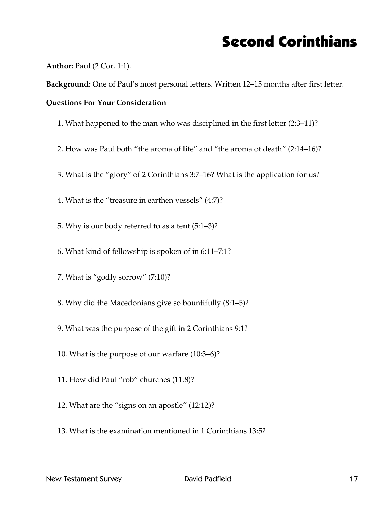## Second Corinthians

**Author:** Paul (2 Cor. 1:1).

**Background:** One of Paul's most personal letters. Written 12–15 months after first letter.

### **Questions For Your Consideration**

- 1. What happened to the man who was disciplined in the first letter (2:3–11)?
- 2. How was Paul both "the aroma of life" and "the aroma of death" (2:14–16)?
- 3. What is the "glory" of 2 Corinthians 3:7–16? What is the application for us?
- 4. What is the "treasure in earthen vessels" (4:7)?
- 5. Why is our body referred to as a tent (5:1–3)?
- 6. What kind of fellowship is spoken of in 6:11–7:1?
- 7. What is "godly sorrow" (7:10)?
- 8. Why did the Macedonians give so bountifully (8:1–5)?
- 9. What was the purpose of the gift in 2 Corinthians 9:1?
- 10. What is the purpose of our warfare (10:3–6)?
- 11. How did Paul "rob" churches (11:8)?
- 12. What are the "signs on an apostle" (12:12)?
- 13. What is the examination mentioned in 1 Corinthians 13:5?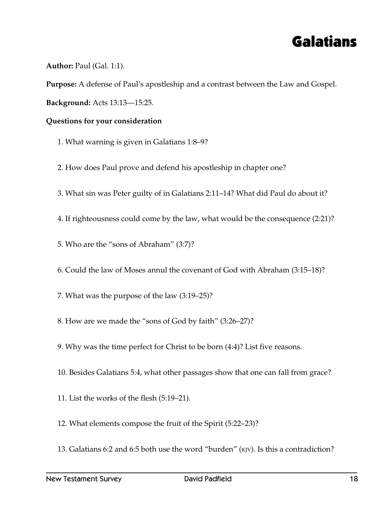

**Author:** Paul (Gal. 1:1).

**Purpose:** A defense of Paul's apostleship and a contrast between the Law and Gospel.

**Background:** Acts 13:13—15:25.

### **Questions for your consideration**

- 1. What warning is given in Galatians 1:8–9?
- 2. How does Paul prove and defend his apostleship in chapter one?
- 3. What sin was Peter guilty of in Galatians 2:11–14? What did Paul do about it?
- 4. If righteousness could come by the law, what would be the consequence (2:21)?
- 5. Who are the "sons of Abraham" (3:7)?
- 6. Could the law of Moses annul the covenant of God with Abraham (3:15–18)?
- 7. What was the purpose of the law (3:19–25)?
- 8. How are we made the "sons of God by faith" (3:26–27)?
- 9. Why was the time perfect for Christ to be born (4:4)? List five reasons.
- 10. Besides Galatians 5:4, what other passages show that one can fall from grace?
- 11. List the works of the flesh (5:19–21).
- 12. What elements compose the fruit of the Spirit (5:22–23)?
- 13. Galatians 6:2 and 6:5 both use the word "burden" (KJV). Is this a contradiction?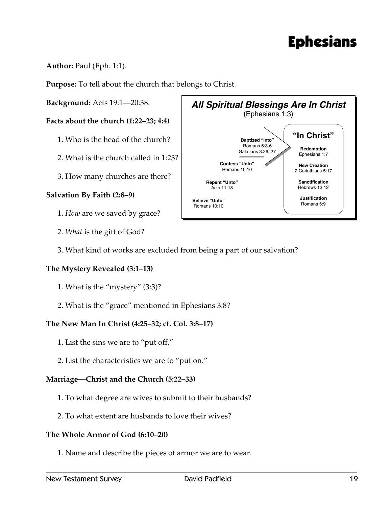## Ephesians

### **Author:** Paul (Eph. 1:1).

**Purpose:** To tell about the church that belongs to Christ.

**Background:** Acts 19:1—20:38.

### **Facts about the church (1:22–23; 4:4)**

- 1. Who is the head of the church?
- 2. What is the church called in 1:23?
- 3. How many churches are there?

### **Salvation By Faith (2:8–9)**

- 1. *How* are we saved by grace?
- 2. *What* is the gift of God?
- 3. What kind of works are excluded from being a part of our salvation?

### **The Mystery Revealed (3:1–13)**

- 1. What is the "mystery" (3:3)?
- 2. What is the "grace" mentioned in Ephesians 3:8?

### **The New Man In Christ (4:25–32; cf. Col. 3:8–17)**

- 1. List the sins we are to "put off."
- 2. List the characteristics we are to "put on."

### **Marriage—Christ and the Church (5:22–33)**

- 1. To what degree are wives to submit to their husbands?
- 2. To what extent are husbands to love their wives?

### **The Whole Armor of God (6:10–20)**

1. Name and describe the pieces of armor we are to wear.

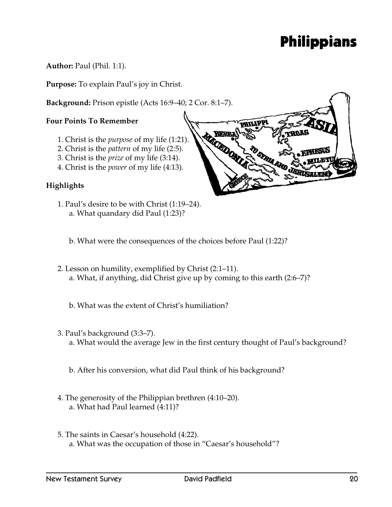## Philippians

**Author:** Paul (Phil. 1:1).

**Purpose:** To explain Paul's joy in Christ.

**Background:** Prison epistle (Acts 16:9–40; 2 Cor. 8:1–7).

### **Four Points To Remember**

- 1. Christ is the *purpose* of my life (1:21).
- 2. Christ is the *pattern* of my life (2:5).
- 3. Christ is the *prize* of my life (3:14).
- 4. Christ is the *power* of my life (4:13).

### **Highlights**

- 1. Paul's desire to be with Christ (1:19–24). a. What quandary did Paul (1:23)?
	- b. What were the consequences of the choices before Paul (1:22)?
- 2. Lesson on humility, exemplified by Christ (2:1–11). a. What, if anything, did Christ give up by coming to this earth (2:6–7)?
	- b. What was the extent of Christ's humiliation?
- 3. Paul's background (3:3–7). a. What would the average Jew in the first century thought of Paul's background?
	- b. After his conversion, what did Paul think of his background?
- 4. The generosity of the Philippian brethren (4:10–20). a. What had Paul learned (4:11)?
- 5. The saints in Caesar's household (4:22). a. What was the occupation of those in "Caesar's household"?

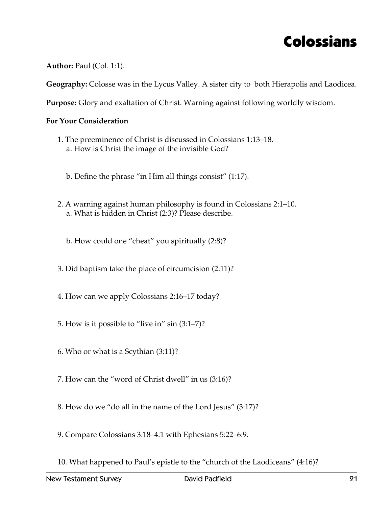### Colossians

**Author:** Paul (Col. 1:1).

**Geography:** Colosse was in the Lycus Valley. A sister city to both Hierapolis and Laodicea.

**Purpose:** Glory and exaltation of Christ. Warning against following worldly wisdom.

- 1. The preeminence of Christ is discussed in Colossians 1:13–18. a. How is Christ the image of the invisible God?
	- b. Define the phrase "in Him all things consist" (1:17).
- 2. A warning against human philosophy is found in Colossians 2:1–10. a. What is hidden in Christ (2:3)? Please describe.
	- b. How could one "cheat" you spiritually (2:8)?
- 3. Did baptism take the place of circumcision (2:11)?
- 4. How can we apply Colossians 2:16–17 today?
- 5. How is it possible to "live in" sin (3:1–7)?
- 6. Who or what is a Scythian (3:11)?
- 7. How can the "word of Christ dwell" in us (3:16)?
- 8. How do we "do all in the name of the Lord Jesus" (3:17)?
- 9. Compare Colossians 3:18–4:1 with Ephesians 5:22–6:9.
- 10. What happened to Paul's epistle to the "church of the Laodiceans" (4:16)?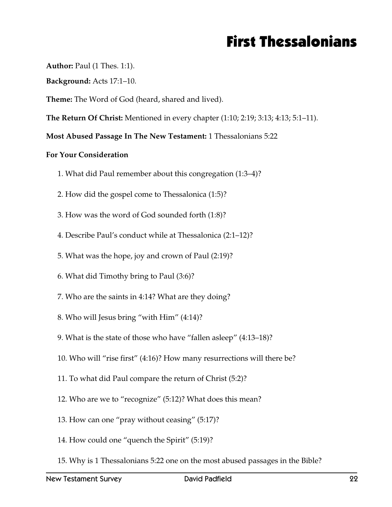## First Thessalonians

**Author:** Paul (1 Thes. 1:1).

**Background:** Acts 17:1–10.

**Theme:** The Word of God (heard, shared and lived).

**The Return Of Christ:** Mentioned in every chapter (1:10; 2:19; 3:13; 4:13; 5:1–11).

**Most Abused Passage In The New Testament:** 1 Thessalonians 5:22

- 1. What did Paul remember about this congregation (1:3–4)?
- 2. How did the gospel come to Thessalonica (1:5)?
- 3. How was the word of God sounded forth (1:8)?
- 4. Describe Paul's conduct while at Thessalonica (2:1–12)?
- 5. What was the hope, joy and crown of Paul (2:19)?
- 6. What did Timothy bring to Paul (3:6)?
- 7. Who are the saints in 4:14? What are they doing?
- 8. Who will Jesus bring "with Him" (4:14)?
- 9. What is the state of those who have "fallen asleep" (4:13–18)?
- 10. Who will "rise first" (4:16)? How many resurrections will there be?
- 11. To what did Paul compare the return of Christ (5:2)?
- 12. Who are we to "recognize" (5:12)? What does this mean?
- 13. How can one "pray without ceasing" (5:17)?
- 14. How could one "quench the Spirit" (5:19)?
- 15. Why is 1 Thessalonians 5:22 one on the most abused passages in the Bible?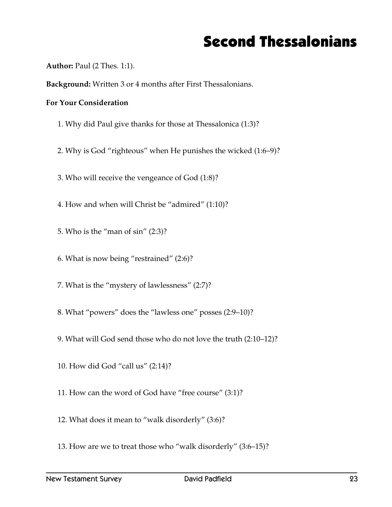## Second Thessalonians

**Author:** Paul (2 Thes. 1:1).

**Background:** Written 3 or 4 months after First Thessalonians.

- 1. Why did Paul give thanks for those at Thessalonica (1:3)?
- 2. Why is God "righteous" when He punishes the wicked (1:6–9)?
- 3. Who will receive the vengeance of God (1:8)?
- 4. How and when will Christ be "admired" (1:10)?
- 5. Who is the "man of sin" (2:3)?
- 6. What is now being "restrained" (2:6)?
- 7. What is the "mystery of lawlessness" (2:7)?
- 8. What "powers" does the "lawless one" posses (2:9–10)?
- 9. What will God send those who do not love the truth (2:10–12)?
- 10. How did God "call us" (2:14)?
- 11. How can the word of God have "free course" (3:1)?
- 12. What does it mean to "walk disorderly" (3:6)?
- 13. How are we to treat those who "walk disorderly" (3:6–15)?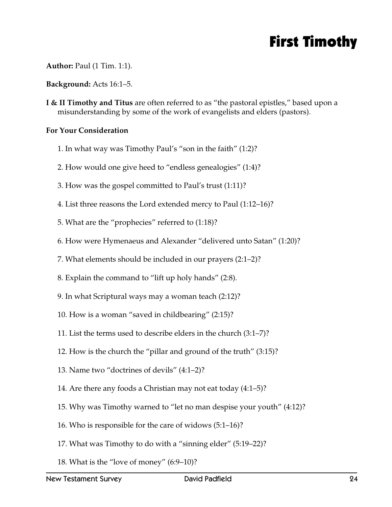## First Timothy

**Author:** Paul (1 Tim. 1:1).

**Background:** Acts 16:1–5.

**I & II Timothy and Titus** are often referred to as "the pastoral epistles," based upon a misunderstanding by some of the work of evangelists and elders (pastors).

- 1. In what way was Timothy Paul's "son in the faith" (1:2)?
- 2. How would one give heed to "endless genealogies" (1:4)?
- 3. How was the gospel committed to Paul's trust (1:11)?
- 4. List three reasons the Lord extended mercy to Paul (1:12–16)?
- 5. What are the "prophecies" referred to (1:18)?
- 6. How were Hymenaeus and Alexander "delivered unto Satan" (1:20)?
- 7. What elements should be included in our prayers (2:1–2)?
- 8. Explain the command to "lift up holy hands" (2:8).
- 9. In what Scriptural ways may a woman teach (2:12)?
- 10. How is a woman "saved in childbearing" (2:15)?
- 11. List the terms used to describe elders in the church (3:1–7)?
- 12. How is the church the "pillar and ground of the truth" (3:15)?
- 13. Name two "doctrines of devils" (4:1–2)?
- 14. Are there any foods a Christian may not eat today (4:1–5)?
- 15. Why was Timothy warned to "let no man despise your youth" (4:12)?
- 16. Who is responsible for the care of widows (5:1–16)?
- 17. What was Timothy to do with a "sinning elder" (5:19–22)?
- 18. What is the "love of money" (6:9–10)?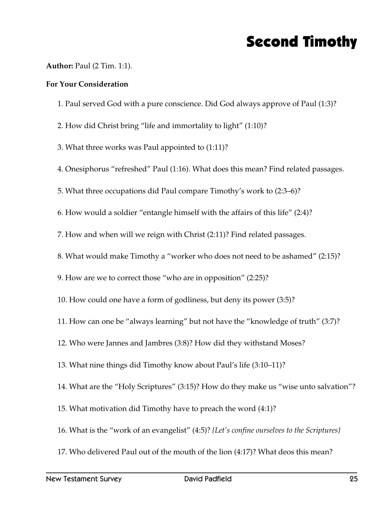## Second Timothy

### **Author:** Paul (2 Tim. 1:1).

- 1. Paul served God with a pure conscience. Did God always approve of Paul (1:3)?
- 2. How did Christ bring "life and immortality to light" (1:10)?
- 3. What three works was Paul appointed to (1:11)?
- 4. Onesiphorus "refreshed" Paul (1:16). What does this mean? Find related passages.
- 5. What three occupations did Paul compare Timothy's work to (2:3–6)?
- 6. How would a soldier "entangle himself with the affairs of this life" (2:4)?
- 7. How and when will we reign with Christ (2:11)? Find related passages.
- 8. What would make Timothy a "worker who does not need to be ashamed" (2:15)?
- 9. How are we to correct those "who are in opposition" (2:25)?
- 10. How could one have a form of godliness, but deny its power (3:5)?
- 11. How can one be "always learning" but not have the "knowledge of truth" (3:7)?
- 12. Who were Jannes and Jambres (3:8)? How did they withstand Moses?
- 13. What nine things did Timothy know about Paul's life (3:10–11)?
- 14. What are the "Holy Scriptures" (3:15)? How do they make us "wise unto salvation"?
- 15. What motivation did Timothy have to preach the word (4:1)?
- 16. What is the "work of an evangelist" (4:5)? *{Let's confine ourselves to the Scriptures}*
- 17. Who delivered Paul out of the mouth of the lion (4:17)? What deos this mean?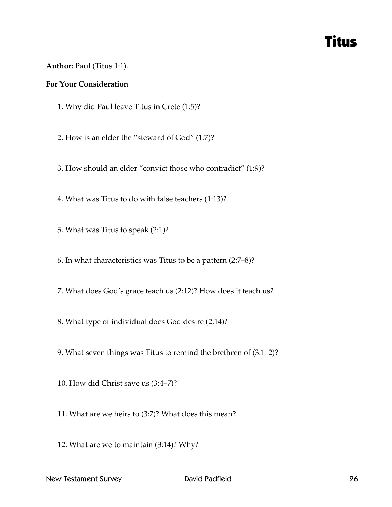### Titus

### **Author:** Paul (Titus 1:1).

- 1. Why did Paul leave Titus in Crete (1:5)?
- 2. How is an elder the "steward of God" (1:7)?
- 3. How should an elder "convict those who contradict" (1:9)?
- 4. What was Titus to do with false teachers (1:13)?
- 5. What was Titus to speak (2:1)?
- 6. In what characteristics was Titus to be a pattern (2:7–8)?
- 7. What does God's grace teach us (2:12)? How does it teach us?
- 8. What type of individual does God desire (2:14)?
- 9. What seven things was Titus to remind the brethren of (3:1–2)?
- 10. How did Christ save us (3:4–7)?
- 11. What are we heirs to (3:7)? What does this mean?
- 12. What are we to maintain (3:14)? Why?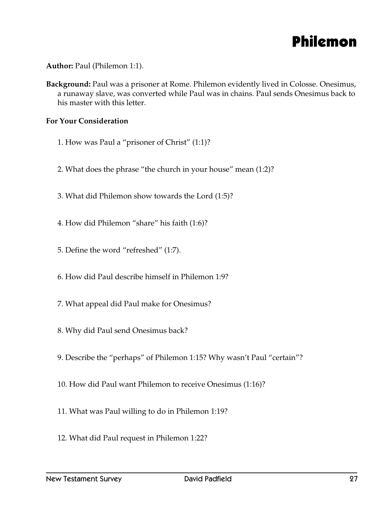

**Author:** Paul (Philemon 1:1).

**Background:** Paul was a prisoner at Rome. Philemon evidently lived in Colosse. Onesimus, a runaway slave, was converted while Paul was in chains. Paul sends Onesimus back to his master with this letter.

- 1. How was Paul a "prisoner of Christ" (1:1)?
- 2. What does the phrase "the church in your house" mean (1:2)?
- 3. What did Philemon show towards the Lord (1:5)?
- 4. How did Philemon "share" his faith (1:6)?
- 5. Define the word "refreshed" (1:7).
- 6. How did Paul describe himself in Philemon 1:9?
- 7. What appeal did Paul make for Onesimus?
- 8. Why did Paul send Onesimus back?
- 9. Describe the "perhaps" of Philemon 1:15? Why wasn't Paul "certain"?
- 10. How did Paul want Philemon to receive Onesimus (1:16)?
- 11. What was Paul willing to do in Philemon 1:19?
- 12. What did Paul request in Philemon 1:22?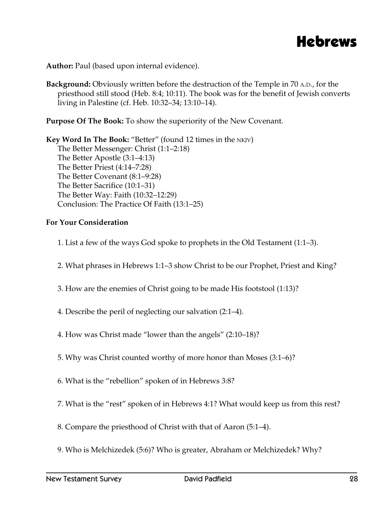

**Author:** Paul (based upon internal evidence).

**Background:** Obviously written before the destruction of the Temple in 70 A.D., for the priesthood still stood (Heb. 8:4; 10:11). The book was for the benefit of Jewish converts living in Palestine (cf. Heb. 10:32–34; 13:10–14).

**Purpose Of The Book:** To show the superiority of the New Covenant.

**Key Word In The Book:** "Better" (found 12 times in the NKJV) The Better Messenger: Christ (1:1–2:18) The Better Apostle (3:1–4:13) The Better Priest (4:14–7:28) The Better Covenant (8:1–9:28) The Better Sacrifice (10:1–31) The Better Way: Faith (10:32–12:29) Conclusion: The Practice Of Faith (13:1–25)

- 1. List a few of the ways God spoke to prophets in the Old Testament (1:1–3).
- 2. What phrases in Hebrews 1:1–3 show Christ to be our Prophet, Priest and King?
- 3. How are the enemies of Christ going to be made His footstool (1:13)?
- 4. Describe the peril of neglecting our salvation (2:1–4).
- 4. How was Christ made "lower than the angels" (2:10–18)?
- 5. Why was Christ counted worthy of more honor than Moses (3:1–6)?
- 6. What is the "rebellion" spoken of in Hebrews 3:8?
- 7. What is the "rest" spoken of in Hebrews 4:1? What would keep us from this rest?
- 8. Compare the priesthood of Christ with that of Aaron (5:1–4).
- 9. Who is Melchizedek (5:6)? Who is greater, Abraham or Melchizedek? Why?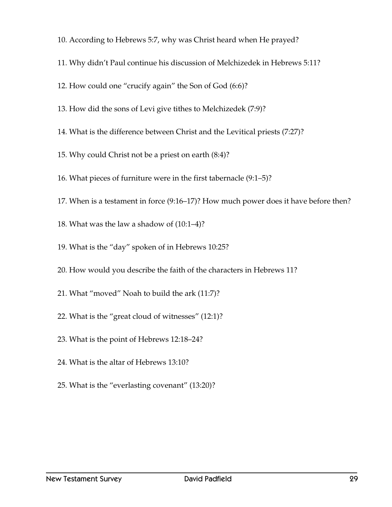- 10. According to Hebrews 5:7, why was Christ heard when He prayed?
- 11. Why didn't Paul continue his discussion of Melchizedek in Hebrews 5:11?
- 12. How could one "crucify again" the Son of God (6:6)?
- 13. How did the sons of Levi give tithes to Melchizedek (7:9)?
- 14. What is the difference between Christ and the Levitical priests (7:27)?
- 15. Why could Christ not be a priest on earth (8:4)?
- 16. What pieces of furniture were in the first tabernacle (9:1–5)?
- 17. When is a testament in force (9:16–17)? How much power does it have before then?
- 18. What was the law a shadow of (10:1–4)?
- 19. What is the "day" spoken of in Hebrews 10:25?
- 20. How would you describe the faith of the characters in Hebrews 11?
- 21. What "moved" Noah to build the ark (11:7)?
- 22. What is the "great cloud of witnesses" (12:1)?
- 23. What is the point of Hebrews 12:18–24?
- 24. What is the altar of Hebrews 13:10?
- 25. What is the "everlasting covenant" (13:20)?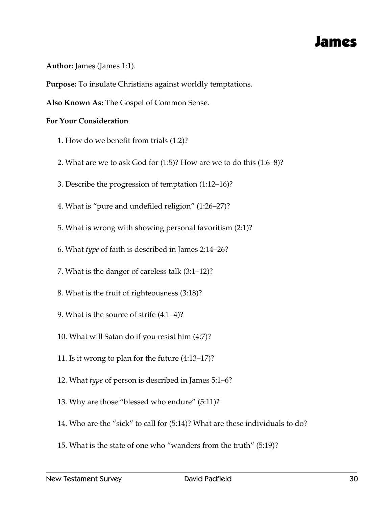### James

**Author:** James (James 1:1).

**Purpose:** To insulate Christians against worldly temptations.

**Also Known As:** The Gospel of Common Sense.

- 1. How do we benefit from trials (1:2)?
- 2. What are we to ask God for (1:5)? How are we to do this (1:6–8)?
- 3. Describe the progression of temptation (1:12–16)?
- 4. What is "pure and undefiled religion" (1:26–27)?
- 5. What is wrong with showing personal favoritism (2:1)?
- 6. What *type* of faith is described in James 2:14–26?
- 7. What is the danger of careless talk (3:1–12)?
- 8. What is the fruit of righteousness (3:18)?
- 9. What is the source of strife (4:1–4)?
- 10. What will Satan do if you resist him (4:7)?
- 11. Is it wrong to plan for the future (4:13–17)?
- 12. What *type* of person is described in James 5:1–6?
- 13. Why are those "blessed who endure" (5:11)?
- 14. Who are the "sick" to call for (5:14)? What are these individuals to do?
- 15. What is the state of one who "wanders from the truth" (5:19)?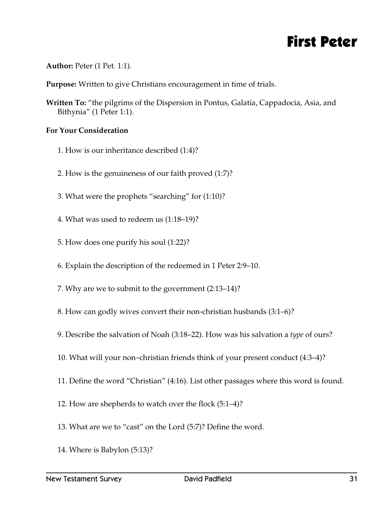### First Peter

**Author:** Peter (1 Pet. 1:1).

**Purpose:** Written to give Christians encouragement in time of trials.

**Written To:** "the pilgrims of the Dispersion in Pontus, Galatia, Cappadocia, Asia, and Bithynia" (1 Peter 1:1).

- 1. How is our inheritance described (1:4)?
- 2. How is the genuineness of our faith proved (1:7)?
- 3. What were the prophets "searching" for (1:10)?
- 4. What was used to redeem us (1:18–19)?
- 5. How does one purify his soul (1:22)?
- 6. Explain the description of the redeemed in 1 Peter 2:9–10.
- 7. Why are we to submit to the government (2:13–14)?
- 8. How can godly wives convert their non-christian husbands (3:1–6)?
- 9. Describe the salvation of Noah (3:18–22). How was his salvation a *type* of ours?
- 10. What will your non–christian friends think of your present conduct (4:3–4)?
- 11. Define the word "Christian" (4:16). List other passages where this word is found.
- 12. How are shepherds to watch over the flock (5:1–4)?
- 13. What are we to "cast" on the Lord (5:7)? Define the word.
- 14. Where is Babylon (5:13)?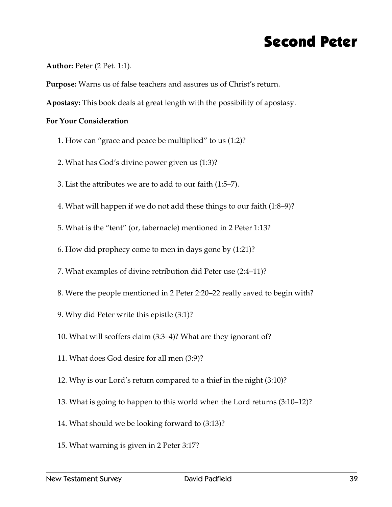### Second Peter

### **Author:** Peter (2 Pet. 1:1).

**Purpose:** Warns us of false teachers and assures us of Christ's return.

**Apostasy:** This book deals at great length with the possibility of apostasy.

- 1. How can "grace and peace be multiplied" to us (1:2)?
- 2. What has God's divine power given us (1:3)?
- 3. List the attributes we are to add to our faith (1:5–7).
- 4. What will happen if we do not add these things to our faith (1:8–9)?
- 5. What is the "tent" (or, tabernacle) mentioned in 2 Peter 1:13?
- 6. How did prophecy come to men in days gone by (1:21)?
- 7. What examples of divine retribution did Peter use (2:4–11)?
- 8. Were the people mentioned in 2 Peter 2:20–22 really saved to begin with?
- 9. Why did Peter write this epistle (3:1)?
- 10. What will scoffers claim (3:3–4)? What are they ignorant of?
- 11. What does God desire for all men (3:9)?
- 12. Why is our Lord's return compared to a thief in the night (3:10)?
- 13. What is going to happen to this world when the Lord returns (3:10–12)?
- 14. What should we be looking forward to (3:13)?
- 15. What warning is given in 2 Peter 3:17?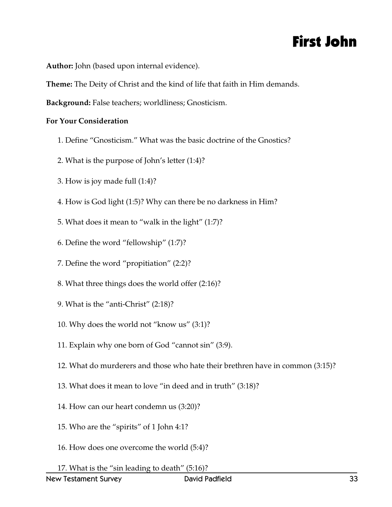## First John

**Author:** John (based upon internal evidence).

**Theme:** The Deity of Christ and the kind of life that faith in Him demands.

**Background:** False teachers; worldliness; Gnosticism.

- 1. Define "Gnosticism." What was the basic doctrine of the Gnostics?
- 2. What is the purpose of John's letter (1:4)?
- 3. How is joy made full (1:4)?
- 4. How is God light (1:5)? Why can there be no darkness in Him?
- 5. What does it mean to "walk in the light" (1:7)?
- 6. Define the word "fellowship" (1:7)?
- 7. Define the word "propitiation" (2:2)?
- 8. What three things does the world offer (2:16)?
- 9. What is the "anti-Christ" (2:18)?
- 10. Why does the world not "know us" (3:1)?
- 11. Explain why one born of God "cannot sin" (3:9).
- 12. What do murderers and those who hate their brethren have in common (3:15)?
- 13. What does it mean to love "in deed and in truth" (3:18)?
- 14. How can our heart condemn us (3:20)?
- 15. Who are the "spirits" of 1 John 4:1?
- 16. How does one overcome the world (5:4)?
- 17. What is the "sin leading to death" (5:16)?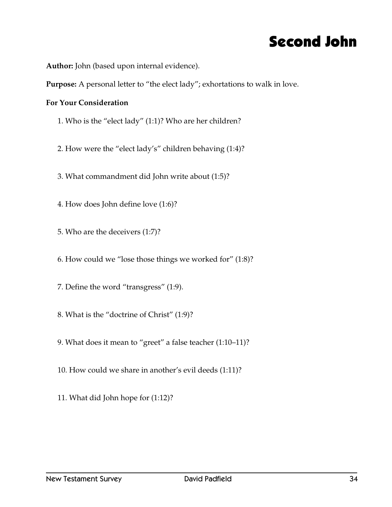### Second John

**Author:** John (based upon internal evidence).

**Purpose:** A personal letter to "the elect lady"; exhortations to walk in love.

- 1. Who is the "elect lady" (1:1)? Who are her children?
- 2. How were the "elect lady's" children behaving (1:4)?
- 3. What commandment did John write about (1:5)?
- 4. How does John define love (1:6)?
- 5. Who are the deceivers (1:7)?
- 6. How could we "lose those things we worked for" (1:8)?
- 7. Define the word "transgress" (1:9).
- 8. What is the "doctrine of Christ" (1:9)?
- 9. What does it mean to "greet" a false teacher (1:10–11)?
- 10. How could we share in another's evil deeds (1:11)?
- 11. What did John hope for (1:12)?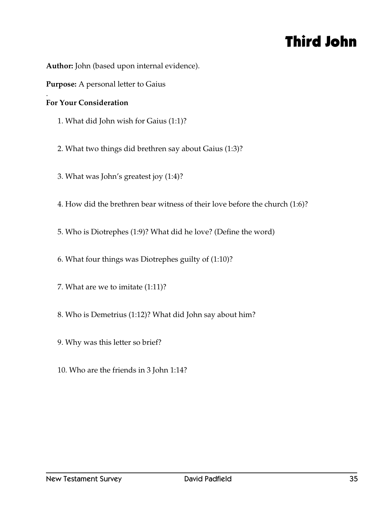## Third John

**Author:** John (based upon internal evidence).

**Purpose:** A personal letter to Gaius

#### . **For Your Consideration**

1. What did John wish for Gaius (1:1)?

2. What two things did brethren say about Gaius (1:3)?

3. What was John's greatest joy (1:4)?

4. How did the brethren bear witness of their love before the church (1:6)?

5. Who is Diotrephes (1:9)? What did he love? (Define the word)

6. What four things was Diotrephes guilty of (1:10)?

7. What are we to imitate (1:11)?

8. Who is Demetrius (1:12)? What did John say about him?

9. Why was this letter so brief?

10. Who are the friends in 3 John 1:14?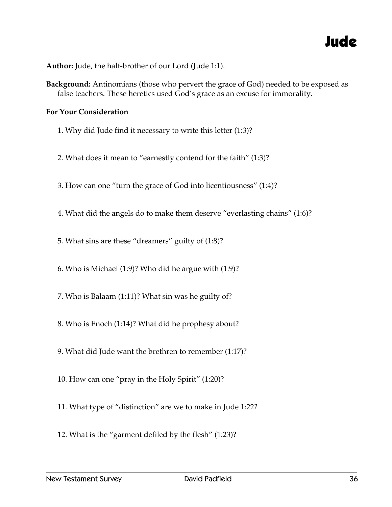### Jude

**Author:** Jude, the half-brother of our Lord (Jude 1:1).

**Background:** Antinomians (those who pervert the grace of God) needed to be exposed as false teachers. These heretics used God's grace as an excuse for immorality.

- 1. Why did Jude find it necessary to write this letter (1:3)?
- 2. What does it mean to "earnestly contend for the faith" (1:3)?
- 3. How can one "turn the grace of God into licentiousness" (1:4)?
- 4. What did the angels do to make them deserve "everlasting chains" (1:6)?
- 5. What sins are these "dreamers" guilty of (1:8)?
- 6. Who is Michael (1:9)? Who did he argue with (1:9)?
- 7. Who is Balaam (1:11)? What sin was he guilty of?
- 8. Who is Enoch (1:14)? What did he prophesy about?
- 9. What did Jude want the brethren to remember (1:17)?
- 10. How can one "pray in the Holy Spirit" (1:20)?
- 11. What type of "distinction" are we to make in Jude 1:22?
- 12. What is the "garment defiled by the flesh" (1:23)?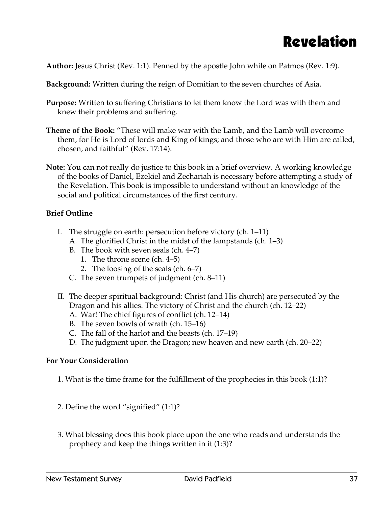## Revelation

**Author:** Jesus Christ (Rev. 1:1). Penned by the apostle John while on Patmos (Rev. 1:9).

**Background:** Written during the reign of Domitian to the seven churches of Asia.

- **Purpose:** Written to suffering Christians to let them know the Lord was with them and knew their problems and suffering.
- **Theme of the Book:** "These will make war with the Lamb, and the Lamb will overcome them, for He is Lord of lords and King of kings; and those who are with Him are called, chosen, and faithful" (Rev. 17:14).
- **Note:** You can not really do justice to this book in a brief overview. A working knowledge of the books of Daniel, Ezekiel and Zechariah is necessary before attempting a study of the Revelation. This book is impossible to understand without an knowledge of the social and political circumstances of the first century.

### **Brief Outline**

- I. The struggle on earth: persecution before victory (ch. 1–11)
	- A. The glorified Christ in the midst of the lampstands (ch. 1–3)
	- B. The book with seven seals (ch. 4–7)
		- 1. The throne scene (ch. 4–5)
		- 2. The loosing of the seals (ch. 6–7)
	- C. The seven trumpets of judgment (ch. 8–11)
- II. The deeper spiritual background: Christ (and His church) are persecuted by the Dragon and his allies. The victory of Christ and the church (ch. 12–22)
	- A. War! The chief figures of conflict (ch. 12–14)
	- B. The seven bowls of wrath (ch. 15–16)
	- C. The fall of the harlot and the beasts (ch. 17–19)
	- D. The judgment upon the Dragon; new heaven and new earth (ch. 20–22)

- 1. What is the time frame for the fulfillment of the prophecies in this book (1:1)?
- 2. Define the word "signified" (1:1)?
- 3. What blessing does this book place upon the one who reads and understands the prophecy and keep the things written in it (1:3)?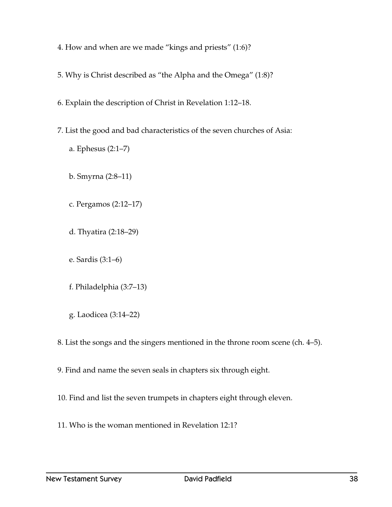- 4. How and when are we made "kings and priests" (1:6)?
- 5. Why is Christ described as "the Alpha and the Omega" (1:8)?
- 6. Explain the description of Christ in Revelation 1:12–18.
- 7. List the good and bad characteristics of the seven churches of Asia:
	- a. Ephesus (2:1–7)
	- b. Smyrna (2:8–11)
	- c. Pergamos (2:12–17)
	- d. Thyatira (2:18–29)
	- e. Sardis (3:1–6)
	- f. Philadelphia (3:7–13)
	- g. Laodicea (3:14–22)
- 8. List the songs and the singers mentioned in the throne room scene (ch. 4–5).
- 9. Find and name the seven seals in chapters six through eight.
- 10. Find and list the seven trumpets in chapters eight through eleven.
- 11. Who is the woman mentioned in Revelation 12:1?